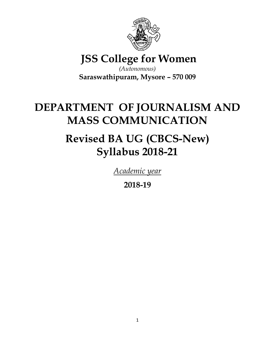

**JSS College for Women**

*(Autonomous)* **Saraswathipuram, Mysore – 570 009**

# **DEPARTMENT OF JOURNALISM AND MASS COMMUNICATION**

# **Revised BA UG (CBCS-New) Syllabus 2018-21**

*Academic year* 

**2018-19**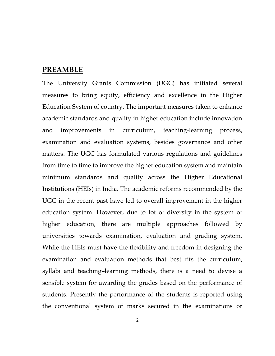# **PREAMBLE**

The University Grants Commission (UGC) has initiated several measures to bring equity, efficiency and excellence in the Higher Education System of country. The important measures taken to enhance academic standards and quality in higher education include innovation and improvements in curriculum, teaching-learning process, examination and evaluation systems, besides governance and other matters. The UGC has formulated various regulations and guidelines from time to time to improve the higher education system and maintain minimum standards and quality across the Higher Educational Institutions (HEIs) in India. The academic reforms recommended by the UGC in the recent past have led to overall improvement in the higher education system. However, due to lot of diversity in the system of higher education, there are multiple approaches followed by universities towards examination, evaluation and grading system. While the HEIs must have the flexibility and freedom in designing the examination and evaluation methods that best fits the curriculum, syllabi and teaching–learning methods, there is a need to devise a sensible system for awarding the grades based on the performance of students. Presently the performance of the students is reported using the conventional system of marks secured in the examinations or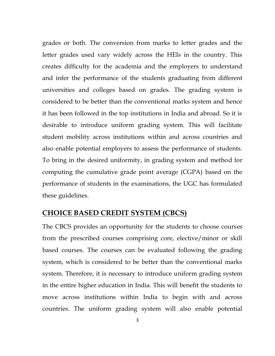grades or both. The conversion from marks to letter grades and the letter grades used vary widely across the HEIs in the country. This creates difficulty for the academia and the employers to understand and infer the performance of the students graduating from different universities and colleges based on grades. The grading system is considered to be better than the conventional marks system and hence it has been followed in the top institutions in India and abroad. So it is desirable to introduce uniform grading system. This will facilitate student mobility across institutions within and across countries and also enable potential employers to assess the performance of students. To bring in the desired uniformity, in grading system and method for computing the cumulative grade point average (CGPA) based on the performance of students in the examinations, the UGC has formulated these guidelines.

# **CHOICE BASED CREDIT SYSTEM (CBCS)**

The CBCS provides an opportunity for the students to choose courses from the prescribed courses comprising core, elective/minor or skill based courses. The courses can be evaluated following the grading system, which is considered to be better than the conventional marks system. Therefore, it is necessary to introduce uniform grading system in the entire higher education in India. This will benefit the students to move across institutions within India to begin with and across countries. The uniform grading system will also enable potential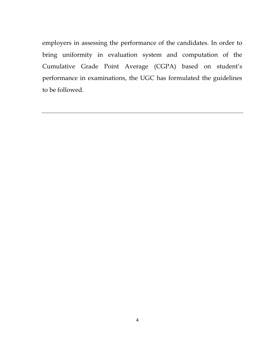employers in assessing the performance of the candidates. In order to bring uniformity in evaluation system and computation of the Cumulative Grade Point Average (CGPA) based on student's performance in examinations, the UGC has formulated the guidelines to be followed.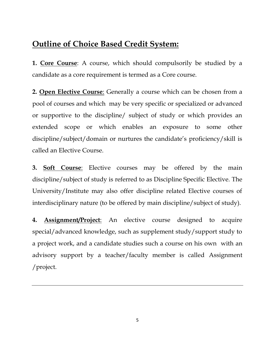# **Outline of Choice Based Credit System:**

**1. Core Course**: A course, which should compulsorily be studied by a candidate as a core requirement is termed as a Core course.

**2. Open Elective Course**: Generally a course which can be chosen from a pool of courses and which may be very specific or specialized or advanced or supportive to the discipline/ subject of study or which provides an extended scope or which enables an exposure to some other discipline/subject/domain or nurtures the candidate's proficiency/skill is called an Elective Course.

**3. Soft Course**: Elective courses may be offered by the main discipline/subject of study is referred to as Discipline Specific Elective. The University/Institute may also offer discipline related Elective courses of interdisciplinary nature (to be offered by main discipline/subject of study).

**4. Assignment/Project**: An elective course designed to acquire special/advanced knowledge, such as supplement study/support study to a project work, and a candidate studies such a course on his own with an advisory support by a teacher/faculty member is called Assignment /project.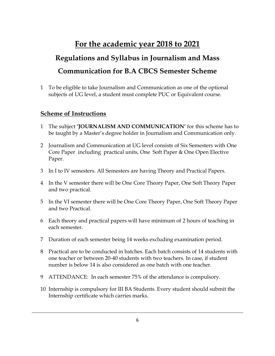# **For the academic year 2018 to 2021**

# **Regulations and Syllabus in Journalism and Mass Communication for B.A CBCS Semester Scheme**

1 To be eligible to take Journalism and Communication as one of the optional subjects of UG level, a student must complete PUC or Equivalent course.

### **Scheme of Instructions**

- 1 The subject **'JOURNALISM AND COMMUNICATION'** for this scheme has to be taught by a Master's degree holder in Journalism and Communication only.
- 2 Journalism and Communication at UG level consists of Six Semesters with One Core Paper including practical units, One Soft Paper & One Open Elective Paper.
- 3 In I to IV semesters. All Semesters are having Theory and Practical Papers.
- 4 In the V semester there will be One Core Theory Paper, One Soft Theory Paper and two practical.
- 5 In the VI semester there will be One Core Theory Paper, One Soft Theory Paper and two Practical.
- 6 Each theory and practical papers will have minimum of 2 hours of teaching in each semester.
- 7 Duration of each semester being 14 weeks excluding examination period.
- 8 Practical are to be conducted in batches. Each batch consists of 14 students with one teacher or between 20-40 students with two teachers. In case, if student number is below 14 is also considered as one batch with one teacher.
- 9 ATTENDANCE: In each semester 75% of the attendance is compulsory.
- 10 Internship is compulsory for III BA Students. Every student should submit the Internship certificate which carries marks.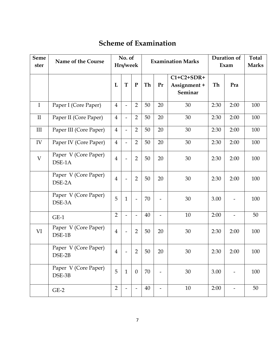# **Scheme of Examination**

| <b>Seme</b><br>ster | Name of the Course             |                | No. of<br>Hrs/week       |                          | Duration of<br><b>Examination Marks</b><br>Exam |                          |                                         | <b>Total</b><br><b>Marks</b> |                          |     |
|---------------------|--------------------------------|----------------|--------------------------|--------------------------|-------------------------------------------------|--------------------------|-----------------------------------------|------------------------------|--------------------------|-----|
|                     |                                | L              | T                        | ${\bf P}$                | Th                                              | Pr                       | $C1+C2+SDR+$<br>Assignment +<br>Seminar | Th                           | Pra                      |     |
| $\mathbf I$         | Paper I (Core Paper)           | $\overline{4}$ | $\overline{a}$           | $\overline{2}$           | 50                                              | 20                       | 30                                      | 2:30                         | 2:00                     | 100 |
| $\mathbf{I}$        | Paper II (Core Paper)          | $\overline{4}$ | $\overline{a}$           | $\overline{2}$           | 50                                              | 20                       | 30                                      | 2:30                         | 2:00                     | 100 |
| III                 | Paper III (Core Paper)         | $\overline{4}$ | $\frac{1}{2}$            | $\overline{2}$           | 50                                              | 20                       | 30                                      | 2:30                         | 2:00                     | 100 |
| IV                  | Paper IV (Core Paper)          | $\overline{4}$ | $\overline{a}$           | $\overline{2}$           | 50                                              | 20                       | 30                                      | 2:30                         | 2:00                     | 100 |
| $\overline{V}$      | Paper V (Core Paper)<br>DSE-1A | $\overline{4}$ | $\overline{a}$           | $\overline{2}$           | 50                                              | 20                       | 30                                      | 2:30                         | 2:00                     | 100 |
|                     | Paper V (Core Paper)<br>DSE-2A | $\overline{4}$ | $\overline{a}$           | $\overline{2}$           | 50                                              | 20                       | 30                                      | 2:30                         | 2:00                     | 100 |
|                     | Paper V (Core Paper)<br>DSE-3A | 5              | $\mathbf{1}$             | $\overline{\phantom{0}}$ | 70                                              |                          | 30                                      | 3.00                         |                          | 100 |
|                     | $GE-1$                         | $\overline{2}$ | $\overline{a}$           | $\overline{\phantom{0}}$ | 40                                              | $\overline{a}$           | 10                                      | 2:00                         | $\overline{\phantom{0}}$ | 50  |
| VI                  | Paper V (Core Paper)<br>DSE-1B | $\overline{4}$ | $\overline{a}$           | $\overline{2}$           | 50                                              | 20                       | 30                                      | 2:30                         | 2:00                     | 100 |
|                     | Paper V (Core Paper)<br>DSE-2B | $\overline{4}$ | $\overline{a}$           | $\overline{2}$           | 50                                              | 20                       | 30                                      | 2:30                         | 2:00                     | 100 |
|                     | Paper V (Core Paper)<br>DSE-3B | 5              | $\mathbf{1}$             | $\overline{0}$           | 70                                              |                          | 30                                      | 3.00                         |                          | 100 |
|                     | $GE-2$                         | $\overline{2}$ | $\overline{\phantom{0}}$ |                          | 40                                              | $\overline{\phantom{a}}$ | 10                                      | 2:00                         | $\overline{\phantom{0}}$ | 50  |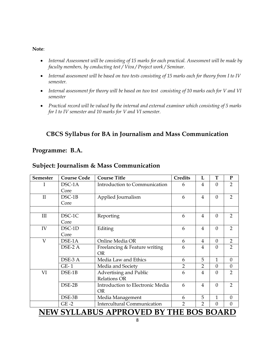#### **Note**:

- *Internal Assessment will be consisting of 15 marks for each practical. Assessment will be made by faculty members, by conducting test / Viva / Project work / Seminar.*
- *Internal assessment will be based on two tests consisting of 15 marks each for theory from I to IV semester.*
- *Internal assessment for theory will be based on two test consisting of 10 marks each for V and VI semester*
- *Practical record will be valued by the internal and external examiner which consisting of 5 marks for I to IV semester and 10 marks for V and VI semester.*

# **CBCS Syllabus for BA in Journalism and Mass Communication**

### **Programme: B.A.**

### **Subject: Journalism & Mass Communication**

| <b>Semester</b> | <b>Course Code</b> | <b>Course Title</b>                               | <b>Credits</b> | L              | T        | $\mathbf{P}$   |
|-----------------|--------------------|---------------------------------------------------|----------------|----------------|----------|----------------|
| I               | DSC-1A             | Introduction to Communication                     | 6              | 4              | $\theta$ | $\overline{2}$ |
|                 | Core               |                                                   |                |                |          |                |
| $\mathbf{II}$   | DSC-1B             | Applied Journalism                                | 6              | $\overline{4}$ | $\Omega$ | $\overline{2}$ |
|                 | Core               |                                                   |                |                |          |                |
|                 |                    |                                                   |                |                |          |                |
| III             | DSC-1C             | Reporting                                         | 6              | 4              | $\Omega$ | $\overline{2}$ |
|                 | Core               |                                                   |                |                |          |                |
| IV              | DSC-1D             | Editing                                           | 6              | 4              | $\Omega$ | $\overline{2}$ |
|                 | Core               |                                                   |                |                |          |                |
| $\overline{V}$  | DSE-1A             | Online Media OR                                   | 6              | 4              | $\Omega$ | $\overline{2}$ |
|                 | DSE-2 A            | Freelancing & Feature writing                     | 6              | 4              | $\Omega$ | $\overline{2}$ |
|                 |                    | <b>OR</b>                                         |                |                |          |                |
|                 | DSE-3 A            | Media Law and Ethics                              | 6              | 5              | 1        | $\Omega$       |
|                 | $GE-1$             | Media and Society                                 | $\overline{2}$ | $\overline{2}$ | $\Omega$ | $\Omega$       |
| VI              | DSE-1B             | Advertising and Public                            | 6              | 4              | $\theta$ | $\overline{2}$ |
|                 |                    | <b>Relations OR</b>                               |                |                |          |                |
|                 | DSE-2B             | Introduction to Electronic Media                  | 6              | $\overline{4}$ | $\theta$ | $\overline{2}$ |
|                 |                    | <b>OR</b>                                         |                |                |          |                |
|                 | DSE-3B             | Media Management                                  | 6              | 5              | 1        | $\Omega$       |
|                 | $GE -2$            | <b>Intercultural Communication</b>                | 2              | 2              | $\Omega$ | 0              |
|                 |                    | NITHI ONI I A DIIQ A DDD OIITD DNITHE DOO DO A DD |                |                |          |                |

# **NEW SYLLABUS APPROVED BY THE BOS BOARD**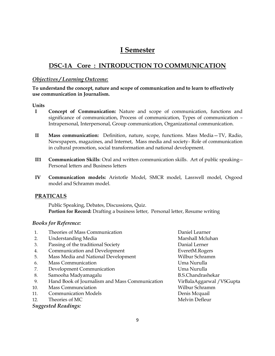# **I Semester**

# **DSC-1A Core : INTRODUCTION TO COMMUNICATION**

#### *Objectives / Learning Outcome:*

#### **To understand the concept, nature and scope of communication and to learn to effectively use communication in Journalism.**

#### **Units**

- **I Concept of Communication:** Nature and scope of communication, functions and significance of communication, Process of communication, Types of communication – Intrapersonal, Interpersonal, Group communication, Organizational communication.
- **II Mass communication:** Definition, nature, scope, functions. Mass Media—TV, Radio, Newspapers, magazines, and Internet, Mass media and society- Role of communication in cultural promotion, social transformation and national development.
- **II1 Communication Skills**: Oral and written communication skills. Art of public speaking-- Personal letters and Business letters
- **IV Communication models:** Aristotle Model, SMCR model, Lasswell model, Osgood model and Schramm model.

### **PRATICALS**

Public Speaking, Debates, Discussions, Quiz. **Portion for Record:** Drafting a business letter, Personal letter, Resume writing

#### *Books for Reference:*

| 1.  | Theories of Mass Communication                 | Daniel Learner            |
|-----|------------------------------------------------|---------------------------|
| 2.  | <b>Understanding Media</b>                     | Marshall Mcluhan          |
| 3.  | Passing of the traditional Society             | Danial Lerner             |
| 4.  | Communication and Development                  | EveretM.Rogers            |
| 5.  | Mass Media and National Development            | Wilbur Schramm            |
| 6.  | <b>Mass Communication</b>                      | Uma Nurulla               |
| 7.  | Development Communication                      | Uma Nurulla               |
| 8.  | Samooha Madyamagalu                            | <b>B.S.Chandrashekar</b>  |
| 9.  | Hand Book of Journalism and Mass Communication | VirBalaAggarwal / VSGupta |
| 10. | <b>Mass Communciation</b>                      | Wilbur Schramm            |
| 11. | <b>Communication Models</b>                    | Denis Mcquail             |
| 12. | Theories of MC                                 | Melvin Defleur            |
|     | <b>Suggested Readings:</b>                     |                           |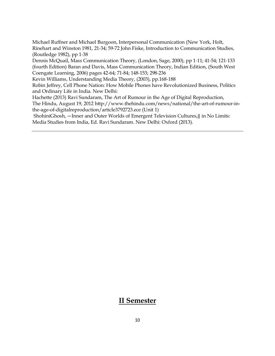Michael Ruffner and Michael Burgoon, Interpersonal Communication (New York, Holt, Rinehart and Winston 1981, 21‐34; 59‐72 John Fiske, Introduction to Communication Studies, (Routledge 1982), pp 1‐38

Dennis McQuail, Mass Communication Theory, (London, Sage, 2000), pp 1‐11; 41‐54; 121‐133 (fourth Edition) Baran and Davis, Mass Communication Theory, Indian Edition, (South West Coengate Learning, 2006) pages 42‐64; 71‐84; 148‐153; 298‐236

Kevin Williams, Understanding Media Theory, (2003), pp.168‐188

Robin Jeffrey, Cell Phone Nation: How Mobile Phones have Revolutionized Business, Politics and Ordinary Life in India. New Delhi:

Hachette (2013) Ravi Sundaram, The Art of Rumour in the Age of Digital Reproduction, The Hindu, August 19, 2012 http://www.thehindu.com/news/national/the-art-of-rumour-in-

the-age-of-digitalreproduction/article3792723.ece (Unit 1)

ShohiniGhosh, ―Inner and Outer Worlds of Emergent Television Cultures,‖ in No Limits: Media Studies from India, Ed. Ravi Sundaram. New Delhi: Oxford (2013).

## **II Semester**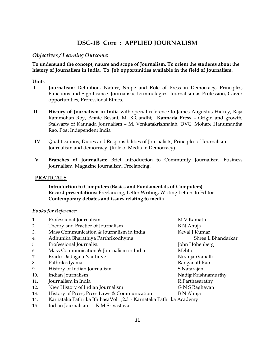# **DSC-1B Core : APPLIED JOURNALISM**

#### *Objectives / Learning Outcome:*

**To understand the concept, nature and scope of Journalism. To orient the students about the history of Journalism in India. To Job opportunities available in the field of Journalism.** 

#### **Units**

- **I Journalism:** Definition, Nature, Scope and Role of Press in Democracy, Principles, Functions and Significance. Journalistic terminologies. Journalism as Profession, Career opportunities, Professional Ethics.
- **II History of Journalism in India** with special reference to James Augustus Hickey, Raja Rammohan Roy, Annie Besant, M. K.Gandhi; **Kannada Press –** Origin and growth, Stalwarts of Kannada Journalism – M. Venkatakrishnaiah, DVG, Mohare Hanumantha Rao, Post Independent India
- **IV** Qualifications, Duties and Responsibilities of Journalists, Principles of Journalism. Journalism and democracy. (Role of Media in Democracy)
- **V Branches of Journalism:** Brief Introduction to Community Journalism, Business Journalism, Magazine Journalism, Freelancing.

#### **PRATICALS**

**Introduction to Computers (Basics and Fundamentals of Computers) Record presentations:** Freelancing, Letter Writing, Writing Letters to Editor. **Contemporary debates and issues relating to media**

#### *Books for Reference:*

| 1.  | Professional Journalism                                           | M V Kamath          |
|-----|-------------------------------------------------------------------|---------------------|
| 2.  | Theory and Practice of Journalism                                 | B N Ahuja           |
| 3.  | Mass Communication $&$ Journalism in India                        | Keval J Kumar       |
| 4.  | Adhunika Bharathiya Parthrikodhyma                                | Shree L Bhandarkar  |
| 5.  | Professional Journalist                                           | John Hohenberg      |
| 6.  | Mass Communication $&$ Journalism in India                        | Mehta               |
| 7.  | Eradu Dadagala Nadhuve                                            | NiranjanVanalli     |
| 8.  | Pathrikodyama                                                     | RanganathRao        |
| 9.  | History of Indian Journalism                                      | S Natarajan         |
| 10. | Indian Journalism                                                 | Nadig Krishnamurthy |
| 11. | Journalism in India                                               | R.Parthasarathy     |
| 12. | New History of Indian Journalism                                  | G N S Raghavan      |
| 13. | History of Press, Press Laws & Communication                      | B N Ahuja           |
| 14. | Karnataka Pathrika IthihasaVol 1,2,3 - Karnataka Pathrika Academy |                     |
| 15. | Indian Journalism - K M Srivastava                                |                     |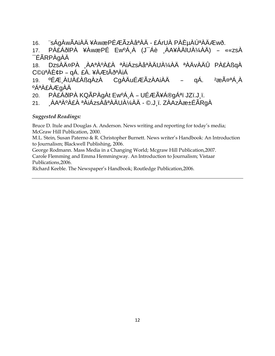16. ¨sÁgÀwÃAiÀÄ ¥ÀwæPÉÆÃzÀåªÀÄ - £ÁrUÀ PÀȵÀÚªÀÄÆwð.

17. PÀ£ÁðlPÀ ¥ÀwæPÉ EwºÁ¸À (J¯Áè ¸ÀA¥ÀÄlUÀ¼ÀÄ) – ««zsÀ ¯ÉÃRPÀgÀÄ

18. DzsÀĤPÀ ¸ÀAªÀºÀ£À ªÀiÁzsÀåªÀÄUÀ¼ÀÄ ªÀÄvÀÄÛ PÀ£ÀßqÀ C©üªÀÈ¢Þ – qÁ. £À. ¥ÀÆtÂðªÀiÁ

19. ºÉƸÀUÀ£ÀßqÀzÀ CgÀÄuÉÆÃzÀAiÀÄ – qÁ. <sup>2</sup>æÃ¤ªÁ¸À ºÁªÀ£ÀÆgÀÄ

20. PÀ£ÁðlPÀ KQÃPÀgÀt EwºÁ¸À – UÉÆÃ¥Á®gÁªï JZï.J¸ï.

21. ¸ÀAªÀºÀ£À ªÀiÁzsÀåªÀÄUÀ¼ÀÄ - ©.J¸ï. ZÀAzÀæ±ÉÃRgÀ

#### *Suggested Readings:*

Bruce D. Itule and Douglas A. Anderson. News writing and reporting for today's media; McGraw Hill Publication, 2000.

M.L. Stein, Susan Paterno & R. Christopher Burnett. News writer's Handbook: An Introduction to Journalism; Blackwell Publishing, 2006.

George Rodmann. Mass Media in a Changing World; Mcgraw Hill Publication,2007. Carole Flemming and Emma Hemmingway. An Introduction to Journalism; Vistaar Publications,2006.

Richard Keeble. The Newspaper's Handbook; Routledge Publication,2006.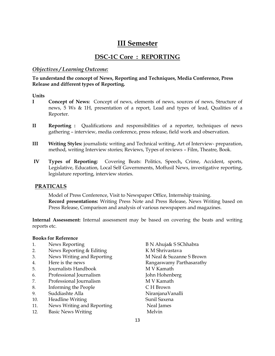# **III Semester**

# **DSC-1C Core : REPORTING**

#### *Objectives / Learning Outcome:*

**To understand the concept of News, Reporting and Techniques, Media Conference, Press Release and different types of Reporting.** 

#### **Units**

- **I Concept of News:** Concept of news, elements of news, sources of news, Structure of news, 5 Ws & 1H, presentation of a report, Lead and types of lead, Qualities of a Reporter.
- **II Reporting :** Qualifications and responsibilities of a reporter, techniques of news gathering – interview, media conference, press release, field work and observation.
- **III Writing Styles:** journalistic writing and Technical writing, Art of Interview- preparation, method, writing Interview stories; Reviews, Types of reviews – Film, Theatre, Book.
- **IV Types of Reporting:** Covering Beats: Politics, Speech**,** Crime, Accident, sports, Legislative, Education, Local Self Governments, Moffusil News, investigative reporting, legislature reporting, interview stories.

#### **PRATICALS**

Model of Press Conference, Visit to Newspaper Office, Internship training. **Record presentations:** Writing Press Note and Press Release, News Writing based on Press Release, Comparison and analysis of various newspapers and magazines.

**Internal Assessment:** Internal assessment may be based on covering the beats and writing reports etc.

#### **Books for Reference**

- 1. News Reporting B N Ahuja& S SChhabra
- 2. News Reporting & Editing K M Shrivastava
- 3. News Writing and Reporting **M** Neal & Suzanne S Brown
- 
- 5. Journalists Handbook M V Kamath
- 6. Professional Journalism John Hohenberg
- 7. Professional Journalism M V Kamath
- 8. Informing the People C H Brown
- 9. Suddiashte Alla NiranjanaVanalli
- 10. Headline Writing Sunil Saxena
- 11. News Writing and Reporting Neal James
- 12. Basic News Writing Melvin
- 4. Here is the news Rangaswamy Parthasarathy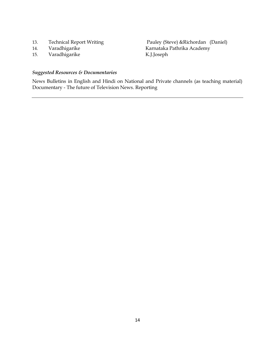- 
- 
- 15. Varadhigarike

13. Technical Report Writing Pauley (Steve) &Richordan (Daniel)<br>14. Varadhigarike Karnataka Pathrika Academy 14. Varadhigarike Karnataka Pathrika Academy<br>15. Varadhigarike K.J.Joseph

#### *Suggested Resources & Documentaries*

News Bulletins in English and Hindi on National and Private channels (as teaching material) Documentary - The future of Television News. Reporting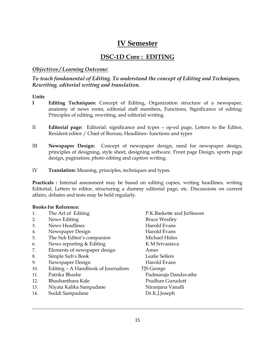# **IV Semester**

## **DSC-1D Core : EDITING**

#### *Objectives / Learning Outcome:*

#### *To teach fundamental of Editing. To understand the concept of Editing and Techniques, Rewriting, editorial writing and translation.*

#### **Units**

- **I Editing Techniques:** Concept of Editing, Organization structure of a newspaper, anatomy of news room, editorial staff members, Functions, Significance of editing; Principles of editing, rewriting, and editorial writing.
- II **Editorial page:** Editorial: significance and types op-ed page, Letters to the Editor, Resident editor / Chief of Bureau; Headlines- functions and types
- III **Newspaper Design:** Concept of newspaper design, need for newspaper design, principles of designing, style sheet, designing software. Front page Design, sports page design, pagination, photo editing and caption writing.
- IV **Translation:** Meaning, principles, techniques and types.

Practicals : Internal assessment may be based on editing copies, writing headlines, writing Editorial, Letters to editor, structuring a dummy editorial page, etc. Discussions on current affairs, debates and tests may be held regularly.

#### **Books for Reference:**

- 
- 2. News Editing Bruce Westley
- 3. News Headlines **Harold Evans**
- 4. Newspaper Design Harold Evans
- 5. The Sub Editor's companion Michael Hides
- 6. News reporting & Editing K M Srivastava
- 7. Elements of newspaper design Ames
- 8. Simple Sub's Book Lealie Sellers
- 9. Newspaper Design Harold Evans
- 10. Editing A Handbook of Journalism TJS George
- 
- 12. Bhashanthara Kale **Brandhan Gurudutt**
- 13. Niyata Kalika Sampadane Niranjana Vanalli
- 14. Suddi Sampadane Dr.K.J.Joseph

1. The Art of Editing The P.K.Baskette and JizSissors 11. Patrika Bhashe Padmaraja Dandavathe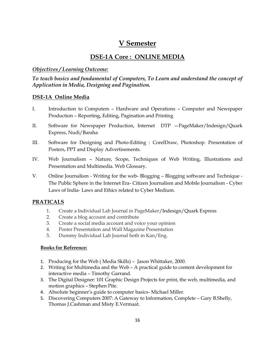# **V Semester**

# **DSE-1A Core : ONLINE MEDIA**

#### *Objectives / Learning Outcome:*

*To teach basics and fundamental of Computers, To Learn and understand the concept of Application in Media, Designing and Pagination.* 

#### **DSE-1A Online Media**

- I. Introduction to Computers Hardware and Operations Computer and Newspaper Production – Reporting, Editing, Pagination and Printing
- II. Software for Newspaper Production, Internet DTP —PageMaker/Indesign/Quark Express, Nudi/Baraha
- III. Software for Designing and Photo-Editing : CorelDraw, Photoshop. Presentation of Posters, PPT and Display Advertisements.
- IV. Web Journalism Nature, Scope, Techniques of Web Writing, Illustrations and Presentation and Multimedia. Web Glossary.
- V. Online Journalism Writing for the web- Blogging Blogging software and Technique The Public Sphere in the Internet Era- Citizen Journalism and Mobile Journalism - Cyber Laws of India- Laws and Ethics related to Cyber Medium.

### **PRATICALS**

- 1. Create a Individual Lab Journal in PageMaker/Indesign/Quark Express
- 2. Create a blog account and contribute
- 3. Create a social media account and voice your opinion
- 4. Poster Presentation and Wall Magazine Presentation
- 5. Dummy Individual Lab Journal both in Kan/Eng.

#### **Books for Reference:**

- 1. Producing for the Web ( Media Skills) Jason Whittaker, 2000.
- 2. Writing for Multimedia and the Web A practical guide to content development for interactive media – Timothy Garrand.
- 3. The Digital Designer: 101 Graphic Design Projects for print, the web, multimedia, and motion graphics – Stephen Pite.
- 4. Absolute beginner's guide to computer basics- Michael Miller.
- 5. Discovering Computers 2007: A Gateway to Information, Complete Gary B.Shelly, Thomas J.Cashman and Misty E.Vermaat.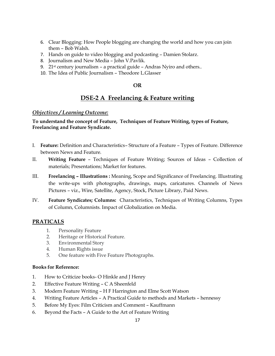- 6. Clear Blogging: How People blogging are changing the world and how you can join them – Bob Walsh.
- 7. Hands on guide to video blogging and podcasting Damien Stolarz.
- 8. Journalism and New Media John V.Pavlik.
- 9.  $21$ <sup>st</sup> century journalism a practical guide Andras Nyiro and others..
- 10. The Idea of Public Journalism Theodore L.Glasser

#### **OR**

## **DSE-2 A Freelancing & Feature writing**

#### *Objectives / Learning Outcome:*

#### **To understand the concept of Feature, Techniques of Feature Writing, types of Feature, Freelancing and Feature Syndicate.**

- I. **Feature:** Definition and Characteristics– Structure of a Feature Types of Feature. Difference between News and Feature.
- II. **Writing Feature** Techniques of Feature Writing; Sources of Ideas Collection of materials; Presentations; Market for features.
- III. **Freelancing – Illustrations :** Meaning, Scope and Significance of Freelancing. Illustrating the write-ups with photographs, drawings, maps, caricatures. Channels of News Pictures – viz., Wire, Satellite, Agency, Stock, Picture Library, Paid News.
- IV. **Feature Syndicates; Columns:** Characteristics, Techniques of Writing Columns, Types of Column, Columnists. Impact of Globalization on Media.

#### **PRATICALS**

- 1. Personality Feature
- 2. Heritage or Historical Feature.
- 3. Environmental Story
- 4. Human Rights issue
- 5. One feature with Five Feature Photographs.

#### **Books for Reference:**

- 1. How to Criticize books- O Hinkle and J Henry
- 2. Effective Feature Writing C A Sheenfeld
- 3. Modern Feature Writing H F Harrington and Elme Scott Watson
- 4. Writing Feature Articles A Practical Guide to methods and Markets hennessy
- 5. Before My Eyes: Film Criticism and Comment Kauffmann
- 6. Beyond the Facts A Guide to the Art of Feature Writing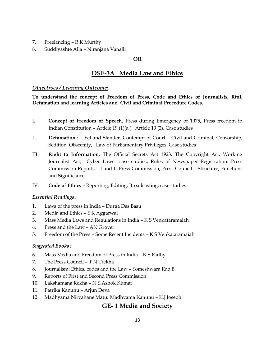- 7. Freelancing R K Murthy
- 8. Suddiyashte Alla Niranjana Vanalli

#### **OR**

# **DSE-3A Media Law and Ethics**

#### *Objectives / Learning Outcome:*

**To understand the concept of Freedom of Press, Code and Ethics of Journalists, RtoI, Defamation and learning Articles and Civil and Criminal Procedure Codes.**

- I. **Concept of Freedom of Speech,** Press during Emergency of 1975, Press freedom in Indian Constitution – Article 19 (1)(a ), Article 19 (2). Case studies
- II. **Defamation :** Libel and Slander, Contempt of Court Civil and Criminal; Censorship, Sedition, Obscenity, Law of Parliamentary Privileges. Case studies
- III. **Right to Information,** The Official Secrets Act 1923, The Copyright Act, Working Journalist Act, Cyber Laws –case studies, Rules of Newspaper Registration. Press Commission Reports – I and II Press Commission, Press Council – Structure, Functions and Significance.
- IV. **Code of Ethics –** Reporting, Editing, Broadcasting, case studies

#### *Essential Readings :*

- 1. Laws of the press in India Durga Das Basu
- 2. Media and Ethics S K Aggarwal
- 3. Mass Media Laws and Regulations in India K S Venkataramaiah
- 4. Press and the Law AN Grover
- 5. Freedom of the Press Some Recent Incidents K S Venkataramaiah

#### *Suggested Books :*

- 6. Mass Media and Freedom of Press in India K S Padhy
- 7. The Press Council T N Trekha
- 8. Journalism: Ethics, codes and the Law Someshwara Rao B.
- 9. Reports of First and Second Press Commission
- 10. Lakshamana Rekha N.S.Ashok Kumar
- 11. Patrika Kanunu Arjun Deva
- 12. Madhyama Nirvahane Mattu Madhyama Kanunu K.J.Joseph

# **GE- 1 Media and Society**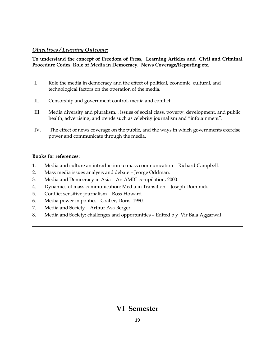#### *Objectives / Learning Outcome:*

#### **To understand the concept of Freedom of Press, Learning Articles and Civil and Criminal Procedure Codes. Role of Media in Democracy. News Coverage/Reporting etc.**

- I. Role the media in democracy and the effect of political, economic, cultural, and technological factors on the operation of the media.
- II. Censorship and government control, media and conflict
- III. Media diversity and pluralism, , issues of social class, poverty, development, and public health, advertising, and trends such as celebrity journalism and "infotainment".
- IV. The effect of news coverage on the public, and the ways in which governments exercise power and communicate through the media.

#### **Books for references:**

- 1. Media and culture an introduction to mass communication Richard Campbell.
- 2. Mass media issues analysis and debate Jeorge Oddman.
- 3. Media and Democracy in Asia An AMIC compilation, 2000.
- 4. Dynamics of mass communication: Media in Transition Joseph Dominick
- 5. Conflict sensitive journalism Ross Howard
- 6. Media power in politics Graber, Doris. 1980.
- 7. Media and Society Arthur Asa Berger
- 8. Media and Society: challenges and opportunities Edited b y Vir Bala Aggarwal

# **VI Semester**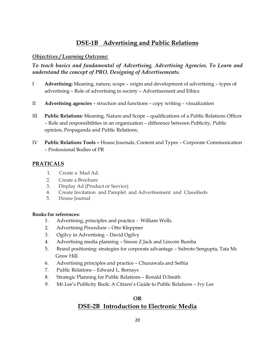# **DSE-1B Advertising and Public Relations**

#### *Objectives / Learning Outcome:*

*To teach basics and fundamental of Advertising, Advertising Agencies. To Learn and understand the concept of PRO. Designing of Advertisements.* 

- I **Advertising:** Meaning, nature, scope origin and development of advertising types of advertising – Role of advertising in society – Advertisement and Ethics
- II **Advertising agencies** structure and functions copy writing visualization
- III **Public Relations:** Meaning, Nature and Scope qualifications of a Public Relations Officer – Role and responsibilities in an organization – difference between Publicity, Public opinion, Propaganda and Public Relations;
- IV **Public Relations Tools –** House Journals; Content and Types Corporate Communication – Professional Bodies of PR

#### **PRATICALS**

- 1. Create a Mad Ad.
- 2. Create a Brochure
- 3. Display Ad (Product or Service)
- 4. Create Invitation and Pamplet and Advertisement and Classifieds
- 5. House Journal

#### **Books for references:**

- 1. Advertising, principles and practice William Wells.
- 2. Advertising Procedure Otto Kleppner
- 3. Ogilvy in Advertising David Ogilvy
- 4. Advertising media planning Sisson Z.Jack and Lincoin Bumba
- 5. Brand positioning: strategies for corporate advantage Subroto Sengupta, Tata Mc Graw Hill.
- 6. Advertising principles and practice Chunawala and Sethia
- 7. Public Relations Edward L. Bernays
- 8. Strategic Planning for Public Relations Ronald D.Smith
- 9. Mr.Lee's Publicity Book: A Citizen's Guide to Public Relations Ivy Lee

# **OR DSE-2B Introduction to Electronic Media**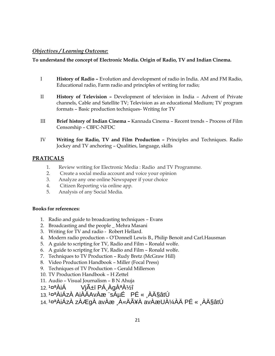#### *Objectives / Learning Outcome:*

#### **To understand the concept of Electronic Media. Origin of Radio, TV and Indian Cinema.**

- I **History of Radio –** Evolution and development of radio in India. AM and FM Radio, Educational radio, Farm radio and principles of writing for radio;
- II **History of Television –** Development of television in India Advent of Private channels, Cable and Satellite TV; Television as an educational Medium; TV program formats – Basic production techniques- Writing for TV
- III **Brief history of Indian Cinema –** Kannada Cinema Recent trends Process of Film Censorship – CBFC-NFDC
- IV **Writing for Radio, TV and Film Production –** Principles and Techniques. Radio Jockey and TV anchoring – Qualities, language, skills

#### **PRATICALS**

- 1. Review writing for Electronic Media : Radio and TV Programme.
- 2. Create a social media account and voice your opinion
- 3. Analyze any one online Newspaper if your choice
- 4. Citizen Reporting via online app.
- 5. Analysis of any Social Media.

#### **Books for references:**

- 1. Radio and guide to broadcasting techniques Evans
- 2. Broadcasting and the people \_ Mehra Masani
- 3. Writing for TV and radio Robert Hellard.
- 4. Modern radio production O'Donnell Lewis B., Philip Benoit and Carl.Hausman
- 5. A guide to scripting for TV, Radio and Film Ronald wolfe.
- 6. A guide to scripting for TV, Radio and Film Ronald wolfe.
- 7. Techniques to TV Production Rudy Bretz (McGraw Hill)
- 8. Video Production Handbook Miller (Focal Press)
- 9. Techniques of TV Production Gerald Millerson
- 10. TV Production Handbook H Zettel
- 11. Audio Visual Journalism B N Ahuja
- 12. ¹¤ªÀiÁ Vjñï PÁ¸ÀgÀªÀ½î
- 13. <sup>1</sup>¤ªÀiÁzÀ AiÀÄAvÀæ ¨sÁµÉ PÉ « ÀħâtÚ
- 14. ¹¤ªÀiÁzÀ zÀÆgÀ avÀæ ¸À«ÄÃ¥À avÀæUÀ¼ÀÄ PÉ « ¸ÀħâtÚ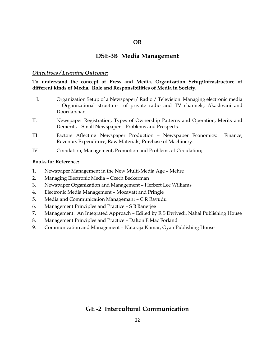#### **OR**

### **DSE-3B Media Management**

#### *Objectives / Learning Outcome:*

**To understand the concept of Press and Media. Organization Setup/Infrastructure of different kinds of Media. Role and Responsibilities of Media in Society.**

- I. Organization Setup of a Newspaper/ Radio / Television. Managing electronic media – Organizational structure of private radio and TV channels, Akashvani and Doordarshan.
- II. Newspaper Registration, Types of Ownership Patterns and Operation, Merits and Demerits – Small Newspaper – Problems and Prospects.
- III. Factors Affecting Newspaper Production Newspaper Economics: Finance, Revenue, Expenditure, Raw Materials, Purchase of Machinery.
- IV. Circulation, Management, Promotion and Problems of Circulation;

#### **Books for Reference:**

- 1. Newspaper Management in the New Multi-Media Age Mehre
- 2. Managing Electronic Media Czech Beckerman
- 3. Newspaper Organization and Management Herbert Lee Williams
- 4. Electronic Media Management Mocavatt and Pringle
- 5. Media and Communication Managemant C R Rayudu
- 6. Management Principles and Practice S B Banerjee
- 7. Management: An Integrated Approach Edited by R S Dwivedi, Nahal Publishing House
- 8. Management Principles and Practice Dalton E Mac Forland
- 9. Communication and Management Nataraja Kumar, Gyan Publishing House

### **GE -2 Intercultural Communication**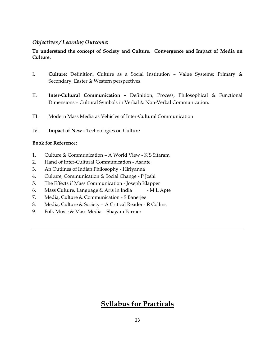#### *Objectives / Learning Outcome:*

#### **To understand the concept of Society and Culture. Convergence and Impact of Media on Culture.**

- I. **Culture:** Definition, Culture as a Social Institution Value Systems; Primary & Secondary, Easter & Western perspectives.
- II. **Inter-Cultural Communication –** Definition, Process, Philosophical & Functional Dimensions – Cultural Symbols in Verbal & Non-Verbal Communication.
- III. Modern Mass Media as Vehicles of Inter-Cultural Communication
- IV. **Impact of New -** Technologies on Culture

#### **Book for Reference:**

- 1. Culture & Communication A World View K S Sitaram
- 2. Hand of Inter-Cultural Communication Asante
- 3. An Outlines of Indian Philosophy Hiriyanna
- 4. Culture, Communication & Social Change P Joshi
- 5. The Effects if Mass Communication Joseph Klapper
- 6. Mass Culture, Language & Arts in India M L Apte
- 7. Media, Culture & Communication S Banerjee
- 8. Media, Culture & Society A Critical Reader R Collins
- 9. Folk Music & Mass Media Shayam Parmer

# **Syllabus for Practicals**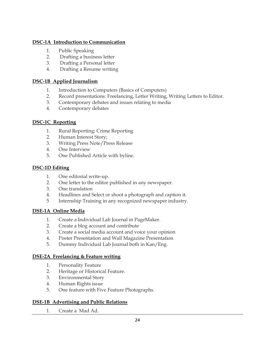#### **DSC-1A Introduction to Communication**

- 1. Public Speaking
- 2. Drafting a business letter
- 3. Drafting a Personal letter
- 4. Drafting a Resume writing

#### **DSC-1B Applied Journalism**

- 1. Introduction to Computers (Basics of Computers)
- 2. Record presentations: Freelancing, Letter Writing, Writing Letters to Editor.
- 3. Contemporary debates and issues relating to media
- 4. Contemporary debates

#### **DSC-1C Reporting**

- 1. Rural Reporting; Crime Reporting
- 2. Human Interest Story;
- 3. Writing Press Note/Press Release
- 4. One Interview
- 5. One Published Article with byline.

#### **DSC-1D Editing**

- 1. One editorial write-up.
- 2. One letter to the editor published in any newspaper.
- 3. One translation
- 4. Headlines and Select or shoot a photograph and caption it.
- 5 Internship Training in any recognized newspaper industry.

#### **DSE-1A Online Media**

- 1. Create a Individual Lab Journal in PageMaker.
- 2. Create a blog account and contribute
- 3. Create a social media account and voice your opinion
- 4. Poster Presentation and Wall Magazine Presentation
- 5. Dummy Individual Lab Journal both in Kan/Eng.

#### **DSE-2A Freelancing & Feature writing**

- 1. Personality Feature
- 2. Heritage or Historical Feature.
- 3. Environmental Story
- 4. Human Rights issue
- 5. One feature with Five Feature Photographs.

#### **DSE-1B Advertising and Public Relations**

1. Create a Mad Ad.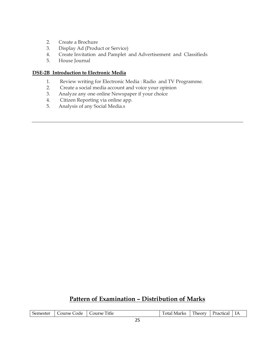- 2. Create a Brochure
- 3. Display Ad (Product or Service)
- 4. Create Invitation and Pamplet and Advertisement and Classifieds
- 5. House Journal

#### **DSE-2B Introduction to Electronic Media**

- 1. Review writing for Electronic Media : Radio and TV Programme.
- 2. Create a social media account and voice your opinion
- 3. Analyze any one online Newspaper if your choice
- 4. Citizen Reporting via online app.
- 5. Analysis of any Social Media.s

# **Pattern of Examination – Distribution of Marks**

| Semester | Course Code   Course Title |  | Total Marks | Theory | Practical |  |  |
|----------|----------------------------|--|-------------|--------|-----------|--|--|
| $-$      |                            |  |             |        |           |  |  |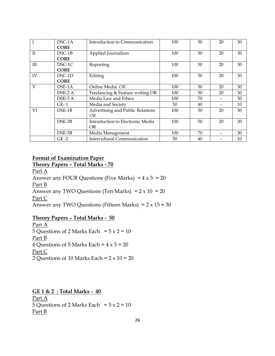| T           | $DSC-1A$<br><b>CORE</b> | Introduction to Communication           | 100 | 50 | 20 | 30 |
|-------------|-------------------------|-----------------------------------------|-----|----|----|----|
| $_{\rm II}$ | $DSC-1B$<br><b>CORE</b> | Applied Journalism                      | 100 | 50 | 20 | 30 |
| Ш           | $DSC-1C$<br><b>CORE</b> | Reporting                               | 100 | 50 | 20 | 30 |
| IV          | $DSC-1D$<br><b>CORE</b> | Editing                                 | 100 | 50 | 20 | 30 |
| V           | DSE-1A                  | Online Media OR                         | 100 | 50 | 20 | 30 |
|             | DSE-2 A                 | Freelancing & Feature writing OR        | 100 | 50 | 20 | 30 |
|             | DSE-3 A                 | Media Law and Ethics                    | 100 | 70 |    | 30 |
|             | $GE-1$                  | Media and Society                       | 50  | 40 |    | 10 |
| VI          | $DSE-1B$                | Advertising and Public Relations<br>OR. | 100 | 50 | 20 | 30 |
|             | $DSE-2B$                | Introduction to Electronic Media<br>OR. | 100 | 50 | 20 | 30 |
|             | DSE-3B                  | Media Management                        | 100 | 70 |    | 30 |
|             | $GE-2$                  | <b>Intercultural Communication</b>      | 50  | 40 |    | 10 |

#### **Format of Examination Paper**

**Theory Papers – Total Marks - 70**

Part A Answer any FOUR Questions (Five Marks) =  $4 \times 5 = 20$ Part B Answer any TWO Questions (Ten Marks) =  $2 \times 10 = 20$ Part C Answer any TWO Questions (Fifteen Marks) =  $2 \times 15 = 30$ 

### **Theory Papers – Total Marks - 50**

Part A 5 Questions of 2 Marks Each =  $5 \times 2 = 10$ Part B 4 Questions of 5 Marks Each =  $4 \times 5 = 20$ Part C 2 Questions of 10 Marks Each =  $2 \times 10 = 20$ 

**GE 1 & 2 : Total Marks - 40** Part A 5 Questions of 2 Marks Each =  $5 \times 2 = 10$ Part B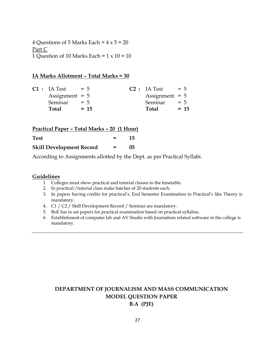4 Questions of 5 Marks Each =  $4 \times 5 = 20$ Part C 1 Question of 10 Marks Each =  $1 \times 10 = 10$ 

#### **IA Marks Allotment – Total Marks = 30**

| $C1$ : IA Test   | $= 5$ |        | $C2$ : IA Test = 5 |       |        |
|------------------|-------|--------|--------------------|-------|--------|
| Assignment $= 5$ |       |        | Assignment $= 5$   |       |        |
| Seminar          | $= 5$ |        | Seminar            | $= 5$ |        |
| Total            |       | $= 15$ | Total              |       | $= 15$ |
|                  |       |        |                    |       |        |

| Practical Paper - Total Marks - 20 (1 Hour) |         |    |
|---------------------------------------------|---------|----|
| <b>Test</b>                                 | $=$ $-$ | 15 |
| <b>Skill Development Record</b>             | $=$ $-$ | 05 |

According to Assignments allotted by the Dept. as per Practical Syllabi.

#### **Guidelines**

- 1. Colleges must show practical and tutorial classes in the timetable.
- 2. In practical /tutorial class make batches of 20 students each.
- 3. In papers having credits for practical's, End Semester Examination in Practical's like Theory is mandatory.
- 4. C1 / C2 / Skill Development Record / Seminar are mandatory.
- 5. BoE has to set papers for practical examination based on practical syllabus.
- 6. Establishment of computer lab and AV Studio with Journalism related software in the college is mandatory.

# **DEPARTMENT OF JOURNALISM AND MASS COMMUNICATION MODEL QUESTION PAPER B.A (PJE)**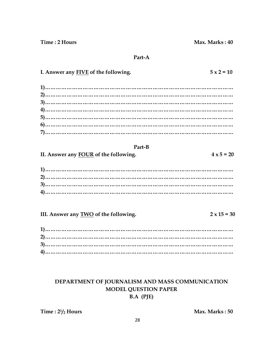Time: 2 Hours

#### Part-A

| I. Answer any FIVE of the following.            | $5 \times 2 = 10$  |
|-------------------------------------------------|--------------------|
|                                                 |                    |
|                                                 |                    |
| Part-B<br>II. Answer any FOUR of the following. | $4 \times 5 = 20$  |
|                                                 |                    |
| III. Answer any TWO of the following.           | $2 \times 15 = 30$ |
|                                                 |                    |

# DEPARTMENT OF JOURNALISM AND MASS COMMUNICATION **MODEL QUESTION PAPER** B.A (PJE)

Time:  $2\frac{1}{2}$  Hours

Max. Marks: 50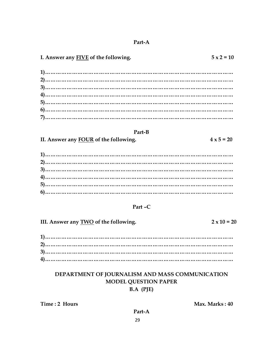#### Part-A

# I. Answer any FIVE of the following.

#### Part-B

II. Answer any FOUR of the following.

#### Part-C

III. Answer any **TWO** of the following.

## DEPARTMENT OF JOURNALISM AND MASS COMMUNICATION **MODEL QUESTION PAPER**  $B.A$  (PJE)

Time: 2 Hours

Max. Marks: 40

29

#### $4 \times 5 = 20$

 $2 \times 10 = 20$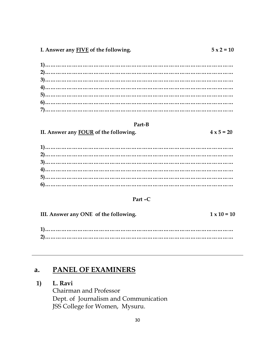$4 \times 5 = 20$ 

#### Part-B

II. Answer any FOUR of the following.

#### Part  $-C$

III. Answer any ONE of the following.  $1 \times 10 = 10$ 

#### PANEL OF EXAMINERS  $a.$

#### L. Ravi  $1)$

Chairman and Professor Dept. of Journalism and Communication JSS College for Women, Mysuru.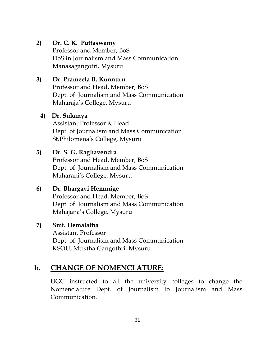# **2) Dr. C. K. Puttaswamy**

Professor and Member, BoS DoS in Journalism and Mass Communication Manasagangotri, Mysuru

# **3) Dr. Prameela B. Kunnuru**

Professor and Head, Member, BoS Dept. of Journalism and Mass Communication Maharaja's College, Mysuru

## **4) Dr. Sukanya**

Assistant Professor & Head Dept. of Journalism and Mass Communication St.Philomena's College, Mysuru

# **5) Dr. S. G. Raghavendra**

Professor and Head, Member, BoS Dept. of Journalism and Mass Communication Maharani's College, Mysuru

# **6) Dr. Bhargavi Hemmige**

Professor and Head, Member, BoS Dept. of Journalism and Mass Communication Mahajana's College, Mysuru

# **7) Smt. Hemalatha**

Assistant Professor Dept. of Journalism and Mass Communication KSOU, Muktha Gangothri, Mysuru

# **b. CHANGE OF NOMENCLATURE:**

UGC instructed to all the university colleges to change the Nomenclature Dept. of Journalism to Journalism and Mass Communication.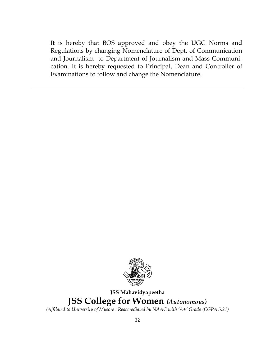It is hereby that BOS approved and obey the UGC Norms and Regulations by changing Nomenclature of Dept. of Communication and Journalism to Department of Journalism and Mass Communication. It is hereby requested to Principal, Dean and Controller of Examinations to follow and change the Nomenclature.



# **JSS Mahavidyapeetha JSS College for Women** *(Autonomous)*

*(Affilated to University of Mysore : Reaccrediated by NAAC with 'A+' Grade (CGPA 5.21)*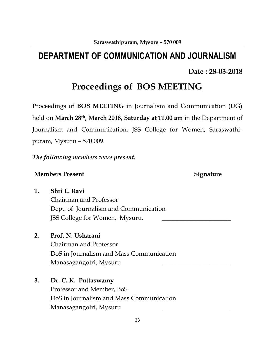# **DEPARTMENT OF COMMUNICATION AND JOURNALISM**

# **Date : 28-03-2018**

# **Proceedings of BOS MEETING**

Proceedings of **BOS MEETING** in Journalism and Communication (UG) held on **March 28th, March 2018, Saturday at 11.00 am** in the Department of Journalism and Communication, JSS College for Women, Saraswathipuram, Mysuru – 570 009.

*The following members were present:*

### **Members Present Signature**

**1. Shri L. Ravi** Chairman and Professor Dept. of Journalism and Communication JSS College for Women, Mysuru.

# **2. Prof. N. Usharani**

Chairman and Professor DoS in Journalism and Mass Communication Manasagangotri, Mysuru \_\_\_\_\_\_\_\_\_\_\_\_\_\_\_\_\_\_\_\_\_\_

**3. Dr. C. K. Puttaswamy**

Professor and Member, BoS DoS in Journalism and Mass Communication Manasagangotri, Mysuru \_\_\_\_\_\_\_\_\_\_\_\_\_\_\_\_\_\_\_\_\_\_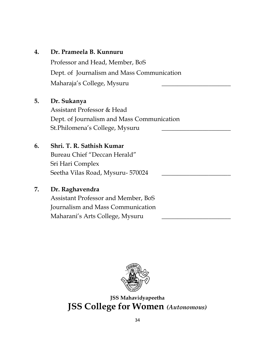# **4. Dr. Prameela B. Kunnuru**

Professor and Head, Member, BoS Dept. of Journalism and Mass Communication Maharaja's College, Mysuru \_\_\_\_\_\_\_\_\_\_\_\_\_\_\_\_\_\_\_\_\_\_

# **5. Dr. Sukanya**

Assistant Professor & Head Dept. of Journalism and Mass Communication St.Philomena's College, Mysuru

# **6. Shri. T. R. Sathish Kumar**

Bureau Chief "Deccan Herald" Sri Hari Complex Seetha Vilas Road, Mysuru- 570024

# **7. Dr. Raghavendra**

Assistant Professor and Member, BoS Journalism and Mass Communication Maharani's Arts College, Mysuru \_\_\_\_\_\_\_\_\_\_\_\_\_\_\_\_\_\_\_\_\_\_



**JSS Mahavidyapeetha JSS College for Women** *(Autonomous)*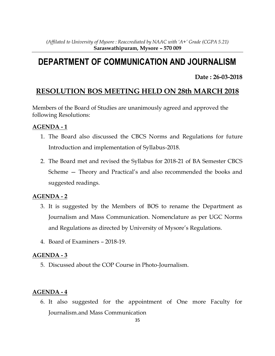# **DEPARTMENT OF COMMUNICATION AND JOURNALISM**

**Date : 26-03-2018**

# **RESOLUTION BOS MEETING HELD ON 28th MARCH 2018**

Members of the Board of Studies are unanimously agreed and approved the following Resolutions:

## **AGENDA - 1**

- 1. The Board also discussed the CBCS Norms and Regulations for future Introduction and implementation of Syllabus-2018.
- 2. The Board met and revised the Syllabus for 2018-21 of BA Semester CBCS Scheme — Theory and Practical's and also recommended the books and suggested readings.

## **AGENDA - 2**

- 3. It is suggested by the Members of BOS to rename the Department as Journalism and Mass Communication. Nomenclature as per UGC Norms and Regulations as directed by University of Mysore's Regulations.
- 4. Board of Examiners 2018-19.

## **AGENDA - 3**

5. Discussed about the COP Course in Photo-Journalism.

## **AGENDA - 4**

6. It also suggested for the appointment of One more Faculty for Journalism.and Mass Communication